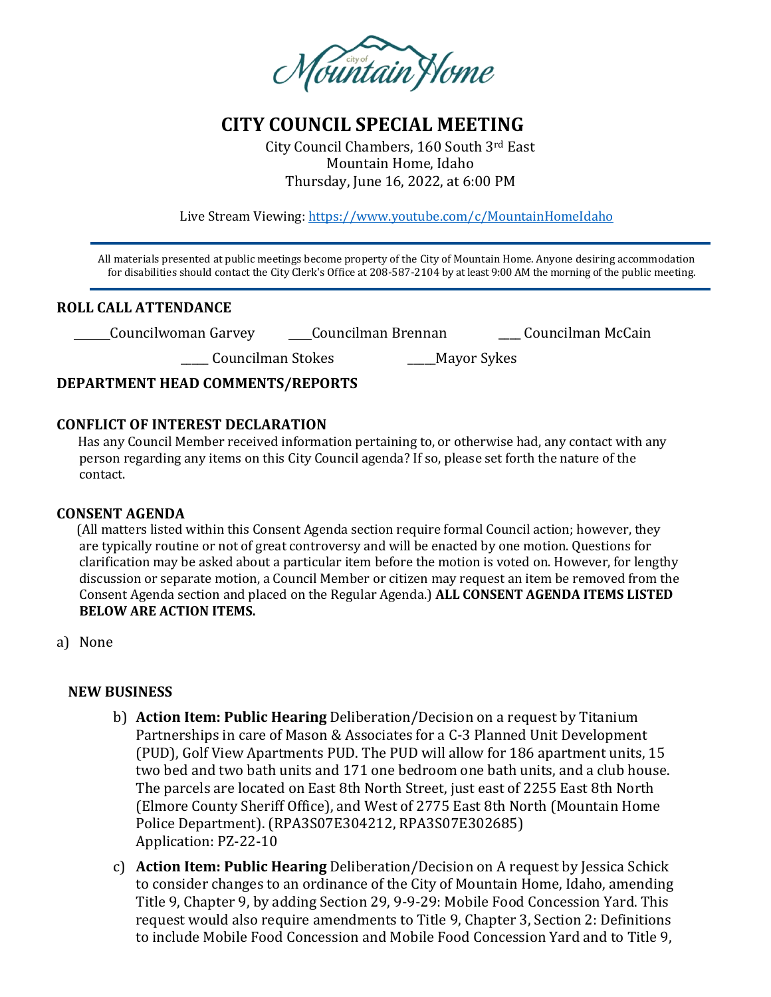

# **CITY COUNCIL SPECIAL MEETING**

City Council Chambers, 160 South 3rd East Mountain Home, Idaho Thursday, June 16, 2022, at 6:00 PM

Live Stream Viewing:<https://www.youtube.com/c/MountainHomeIdaho>

 All materials presented at public meetings become property of the City of Mountain Home. Anyone desiring accommodation for disabilities should contact the City Clerk's Office at 208-587-2104 by at least 9:00 AM the morning of the public meeting.

### **ROLL CALL ATTENDANCE**

Councilwoman Garvey Councilman Brennan \_\_\_\_ Councilman McCain

\_\_\_\_\_ Councilman Stokes \_\_\_\_\_Mayor Sykes

# **DEPARTMENT HEAD COMMENTS/REPORTS**

### **CONFLICT OF INTEREST DECLARATION**

 Has any Council Member received information pertaining to, or otherwise had, any contact with any person regarding any items on this City Council agenda? If so, please set forth the nature of the contact.

# **CONSENT AGENDA**

 (All matters listed within this Consent Agenda section require formal Council action; however, they are typically routine or not of great controversy and will be enacted by one motion. Questions for clarification may be asked about a particular item before the motion is voted on. However, for lengthy discussion or separate motion, a Council Member or citizen may request an item be removed from the Consent Agenda section and placed on the Regular Agenda.) **ALL CONSENT AGENDA ITEMS LISTED BELOW ARE ACTION ITEMS.**

a) None

# **NEW BUSINESS**

- b) **Action Item: Public Hearing** Deliberation/Decision on a request by Titanium Partnerships in care of Mason & Associates for a C-3 Planned Unit Development (PUD), Golf View Apartments PUD. The PUD will allow for 186 apartment units, 15 two bed and two bath units and 171 one bedroom one bath units, and a club house. The parcels are located on East 8th North Street, just east of 2255 East 8th North (Elmore County Sheriff Office), and West of 2775 East 8th North (Mountain Home Police Department). (RPA3S07E304212, RPA3S07E302685) Application: PZ-22-10
- c) **Action Item: Public Hearing** Deliberation/Decision on A request by Jessica Schick to consider changes to an ordinance of the City of Mountain Home, Idaho, amending Title 9, Chapter 9, by adding Section 29, 9-9-29: Mobile Food Concession Yard. This request would also require amendments to Title 9, Chapter 3, Section 2: Definitions to include Mobile Food Concession and Mobile Food Concession Yard and to Title 9,